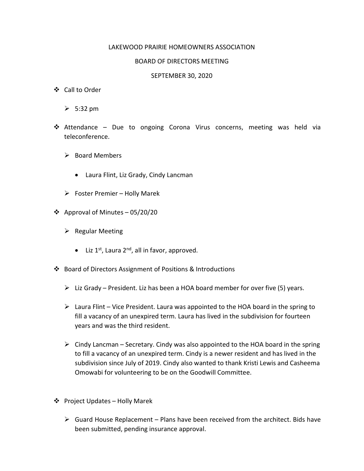## LAKEWOOD PRAIRIE HOMEOWNERS ASSOCIATION

## BOARD OF DIRECTORS MEETING

## SEPTEMBER 30, 2020

- Call to Order
	- $\geqslant$  5:32 pm
- Attendance Due to ongoing Corona Virus concerns, meeting was held via teleconference.
	- $\triangleright$  Board Members
		- Laura Flint, Liz Grady, Cindy Lancman
	- $\triangleright$  Foster Premier Holly Marek
- ❖ Approval of Minutes 05/20/20
	- $\triangleright$  Regular Meeting
		- $\bullet$  Liz 1<sup>st</sup>, Laura 2<sup>nd</sup>, all in favor, approved.
- Board of Directors Assignment of Positions & Introductions
	- $\triangleright$  Liz Grady President. Liz has been a HOA board member for over five (5) years.
	- $\triangleright$  Laura Flint Vice President. Laura was appointed to the HOA board in the spring to fill a vacancy of an unexpired term. Laura has lived in the subdivision for fourteen years and was the third resident.
	- $\triangleright$  Cindy Lancman Secretary. Cindy was also appointed to the HOA board in the spring to fill a vacancy of an unexpired term. Cindy is a newer resident and has lived in the subdivision since July of 2019. Cindy also wanted to thank Kristi Lewis and Casheema Omowabi for volunteering to be on the Goodwill Committee.
- Project Updates Holly Marek
	- $\triangleright$  Guard House Replacement Plans have been received from the architect. Bids have been submitted, pending insurance approval.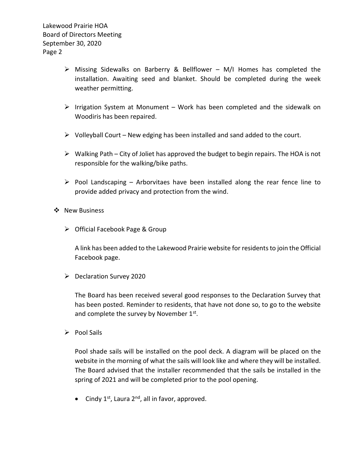- $\triangleright$  Missing Sidewalks on Barberry & Bellflower M/I Homes has completed the installation. Awaiting seed and blanket. Should be completed during the week weather permitting.
- $\triangleright$  Irrigation System at Monument Work has been completed and the sidewalk on Woodiris has been repaired.
- $\triangleright$  Volleyball Court New edging has been installed and sand added to the court.
- $\triangleright$  Walking Path City of Joliet has approved the budget to begin repairs. The HOA is not responsible for the walking/bike paths.
- $\triangleright$  Pool Landscaping Arborvitaes have been installed along the rear fence line to provide added privacy and protection from the wind.

## ❖ New Business

Official Facebook Page & Group

A link has been added to the Lakewood Prairie website for residents to join the Official Facebook page.

 $\triangleright$  Declaration Survey 2020

The Board has been received several good responses to the Declaration Survey that has been posted. Reminder to residents, that have not done so, to go to the website and complete the survey by November  $1<sup>st</sup>$ .

 $\triangleright$  Pool Sails

Pool shade sails will be installed on the pool deck. A diagram will be placed on the website in the morning of what the sails will look like and where they will be installed. The Board advised that the installer recommended that the sails be installed in the spring of 2021 and will be completed prior to the pool opening.

• Cindy  $1^{st}$ , Laura  $2^{nd}$ , all in favor, approved.